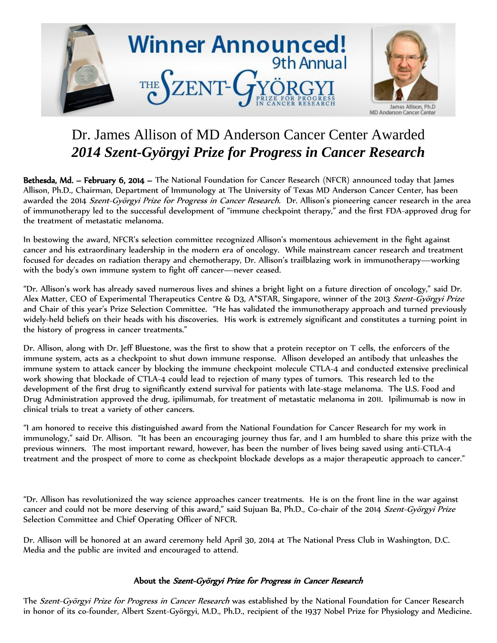

## Dr. James Allison of MD Anderson Cancer Center Awarded *2014 Szent-Györgyi Prize for Progress in Cancer Research*

Bethesda, Md. - February 6, 2014 - The National Foundation for Cancer Research (NFCR) announced today that James Allison, Ph.D., Chairman, Department of Immunology at The University of Texas MD Anderson Cancer Center, has been awarded the 2014 Szent-Györgyi Prize for Progress in Cancer Research. Dr. Allison's pioneering cancer research in the area of immunotherapy led to the successful development of "immune checkpoint therapy," and the first FDA-approved drug for the treatment of metastatic melanoma.

In bestowing the award, NFCR's selection committee recognized Allison's momentous achievement in the fight against cancer and his extraordinary leadership in the modern era of oncology. While mainstream cancer research and treatment focused for decades on radiation therapy and chemotherapy, Dr. Allison's trailblazing work in immunotherapy—working with the body's own immune system to fight off cancer—never ceased.

"Dr. Allison's work has already saved numerous lives and shines a bright light on a future direction of oncology," said Dr. Alex Matter, CEO of Experimental Therapeutics Centre & D3, A\*STAR, Singapore, winner of the 2013 Szent-Györgyi Prize and Chair of this year's Prize Selection Committee. "He has validated the immunotherapy approach and turned previously widely-held beliefs on their heads with his discoveries. His work is extremely significant and constitutes a turning point in the history of progress in cancer treatments."

Dr. Allison, along with Dr. Jeff Bluestone, was the first to show that a protein receptor on T cells, the enforcers of the immune system, acts as a checkpoint to shut down immune response. Allison developed an antibody that unleashes the immune system to attack cancer by blocking the immune checkpoint molecule CTLA-4 and conducted extensive preclinical work showing that blockade of CTLA-4 could lead to rejection of many types of tumors. This research led to the development of the first drug to significantly extend survival for patients with late-stage melanoma. The U.S. Food and Drug Administration approved the drug, ipilimumab, for treatment of metastatic melanoma in 2011. Ipilimumab is now in clinical trials to treat a variety of other cancers.

"I am honored to receive this distinguished award from the National Foundation for Cancer Research for my work in immunology," said Dr. Allison. "It has been an encouraging journey thus far, and I am humbled to share this prize with the previous winners. The most important reward, however, has been the number of lives being saved using anti-CTLA-4 treatment and the prospect of more to come as checkpoint blockade develops as a major therapeutic approach to cancer."

"Dr. Allison has revolutionized the way science approaches cancer treatments. He is on the front line in the war against cancer and could not be more deserving of this award," said Sujuan Ba, Ph.D., Co-chair of the 2014 Szent-Györgyi Prize Selection Committee and Chief Operating Officer of NFCR.

Dr. Allison will be honored at an award ceremony held April 30, 2014 at The National Press Club in Washington, D.C. Media and the public are invited and encouraged to attend.

## About the Szent-Györgyi Prize for Progress in Cancer Research

The Szent-Györgyi Prize for Progress in Cancer Research was established by the National Foundation for Cancer Research in honor of its co-founder, Albert Szent-Györgyi, M.D., Ph.D., recipient of the 1937 Nobel Prize for Physiology and Medicine.